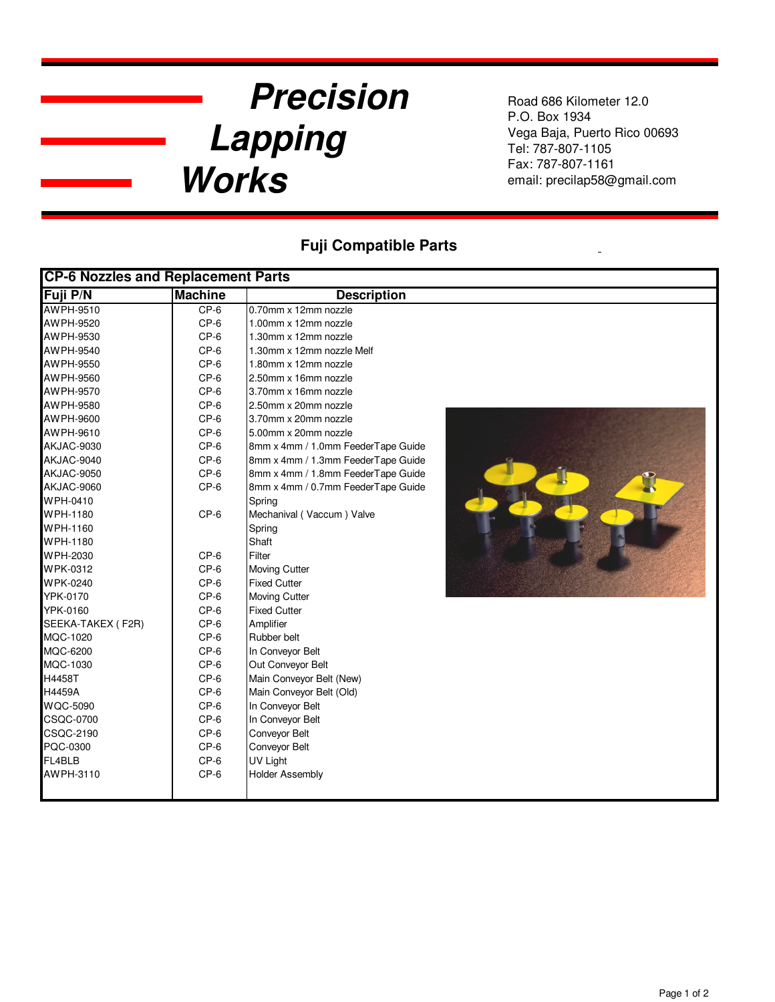## **Precision Lapping Works**

Road 686 Kilometer 12.0 P.O. Box 1934 Vega Baja, Puerto Rico 00693 Tel: 787-807-1105 Fax: 787-807-1161 email: precilap58@gmail.com

## **Fuji Compatible Parts**

| <b>CP-6 Nozzles and Replacement Parts</b> |                |                                    |  |  |
|-------------------------------------------|----------------|------------------------------------|--|--|
| Fuji P/N                                  | <b>Machine</b> | <b>Description</b>                 |  |  |
| AWPH-9510                                 | $CP-6$         | 0.70mm x 12mm nozzle               |  |  |
| AWPH-9520                                 | $CP-6$         | 1.00mm x 12mm nozzle               |  |  |
| AWPH-9530                                 | $CP-6$         | 1.30mm x 12mm nozzle               |  |  |
| AWPH-9540                                 | $CP-6$         | 1.30mm x 12mm nozzle Melf          |  |  |
| AWPH-9550                                 | $CP-6$         | 1.80mm x 12mm nozzle               |  |  |
| AWPH-9560                                 | $CP-6$         | 2.50mm x 16mm nozzle               |  |  |
| AWPH-9570                                 | $CP-6$         | 3.70mm x 16mm nozzle               |  |  |
| AWPH-9580                                 | $CP-6$         | 2.50mm x 20mm nozzle               |  |  |
| AWPH-9600                                 | $CP-6$         | 3.70mm x 20mm nozzle               |  |  |
| AWPH-9610                                 | $CP-6$         | 5.00mm x 20mm nozzle               |  |  |
| AKJAC-9030                                | $CP-6$         | 8mm x 4mm / 1.0mm FeederTape Guide |  |  |
| AKJAC-9040                                | $CP-6$         | 8mm x 4mm / 1.3mm FeederTape Guide |  |  |
| AKJAC-9050                                | $CP-6$         | 8mm x 4mm / 1.8mm FeederTape Guide |  |  |
| AKJAC-9060                                | $CP-6$         | 8mm x 4mm / 0.7mm FeederTape Guide |  |  |
| WPH-0410                                  |                | Spring                             |  |  |
| WPH-1180                                  | $CP-6$         | Mechanival (Vaccum) Valve          |  |  |
| WPH-1160                                  |                | Spring                             |  |  |
| WPH-1180                                  |                | Shaft                              |  |  |
| WPH-2030                                  | $CP-6$         | Filter                             |  |  |
| WPK-0312                                  | $CP-6$         | <b>Moving Cutter</b>               |  |  |
| <b>WPK-0240</b>                           | $CP-6$         | <b>Fixed Cutter</b>                |  |  |
| YPK-0170                                  | $CP-6$         | <b>Moving Cutter</b>               |  |  |
| YPK-0160                                  | $CP-6$         | <b>Fixed Cutter</b>                |  |  |
| SEEKA-TAKEX (F2R)                         | $CP-6$         | Amplifier                          |  |  |
| MQC-1020                                  | $CP-6$         | Rubber belt                        |  |  |
| MQC-6200                                  | $CP-6$         | In Conveyor Belt                   |  |  |
| MQC-1030                                  | $CP-6$         | Out Conveyor Belt                  |  |  |
| H4458T                                    | $CP-6$         | Main Conveyor Belt (New)           |  |  |
| H4459A                                    | $CP-6$         | Main Conveyor Belt (Old)           |  |  |
| <b>WQC-5090</b>                           | $CP-6$         | In Conveyor Belt                   |  |  |
| <b>CSQC-0700</b>                          | $CP-6$         | In Conveyor Belt                   |  |  |
| <b>CSQC-2190</b>                          | $CP-6$         | Conveyor Belt                      |  |  |
| PQC-0300                                  | $CP-6$         | Conveyor Belt                      |  |  |
| FL4BLB                                    | $CP-6$         | UV Light                           |  |  |
| AWPH-3110                                 | $CP-6$         | <b>Holder Assembly</b>             |  |  |
|                                           |                |                                    |  |  |